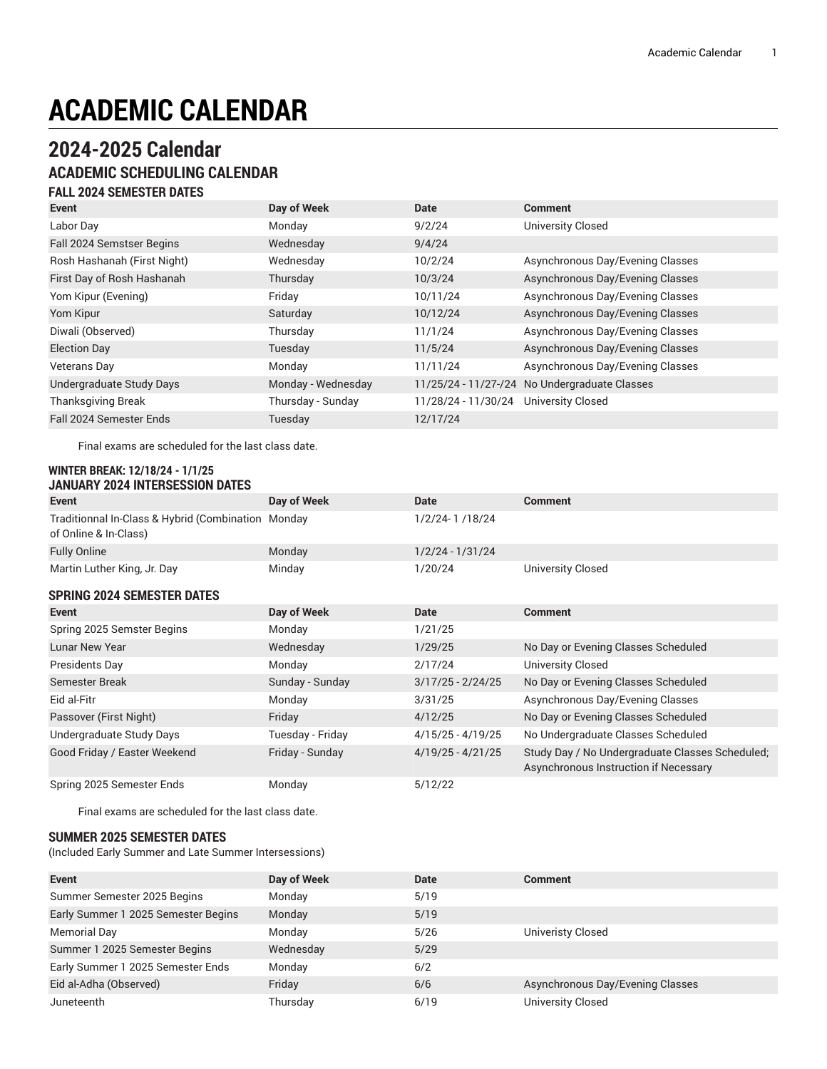# **ACADEMIC CALENDAR**

# **2024-2025 Calendar**

# **ACADEMIC SCHEDULING CALENDAR**

## **FALL 2024 SEMESTER DATES**

| <b>Event</b>                   | Day of Week        | <b>Date</b>         | <b>Comment</b>                                |
|--------------------------------|--------------------|---------------------|-----------------------------------------------|
| Labor Day                      | Monday             | 9/2/24              | <b>University Closed</b>                      |
| Fall 2024 Semstser Begins      | Wednesday          | 9/4/24              |                                               |
| Rosh Hashanah (First Night)    | Wednesday          | 10/2/24             | Asynchronous Day/Evening Classes              |
| First Day of Rosh Hashanah     | Thursday           | 10/3/24             | Asynchronous Day/Evening Classes              |
| Yom Kipur (Evening)            | Friday             | 10/11/24            | Asynchronous Day/Evening Classes              |
| Yom Kipur                      | Saturday           | 10/12/24            | Asynchronous Day/Evening Classes              |
| Diwali (Observed)              | Thursday           | 11/1/24             | Asynchronous Day/Evening Classes              |
| <b>Election Day</b>            | Tuesday            | 11/5/24             | Asynchronous Day/Evening Classes              |
| <b>Veterans Day</b>            | Monday             | 11/11/24            | Asynchronous Day/Evening Classes              |
| Undergraduate Study Days       | Monday - Wednesday |                     | 11/25/24 - 11/27-/24 No Undergraduate Classes |
| <b>Thanksgiving Break</b>      | Thursday - Sunday  | 11/28/24 - 11/30/24 | <b>University Closed</b>                      |
| <b>Fall 2024 Semester Ends</b> | Tuesday            | 12/17/24            |                                               |

Final exams are scheduled for the last class date.

#### **WINTER BREAK: 12/18/24 - 1/1/25 JANUARY 2024 INTERSESSION DATES**

| Event                                                                | Day of Week      | Date                | <b>Comment</b>                                                                           |
|----------------------------------------------------------------------|------------------|---------------------|------------------------------------------------------------------------------------------|
| Traditionnal In-Class & Hybrid (Combination<br>of Online & In-Class) | Monday           | 1/2/24-1/18/24      |                                                                                          |
| <b>Fully Online</b>                                                  | Monday           | $1/2/24 - 1/31/24$  |                                                                                          |
| Martin Luther King, Jr. Day                                          | Minday           | 1/20/24             | <b>University Closed</b>                                                                 |
| <b>SPRING 2024 SEMESTER DATES</b>                                    |                  |                     |                                                                                          |
| Event                                                                | Day of Week      | Date                | <b>Comment</b>                                                                           |
| Spring 2025 Semster Begins                                           | Monday           | 1/21/25             |                                                                                          |
| <b>Lunar New Year</b>                                                | Wednesday        | 1/29/25             | No Day or Evening Classes Scheduled                                                      |
| Presidents Day                                                       | Monday           | 2/17/24             | <b>University Closed</b>                                                                 |
| Semester Break                                                       | Sunday - Sunday  | $3/17/25 - 2/24/25$ | No Day or Evening Classes Scheduled                                                      |
| Eid al-Fitr                                                          | Monday           | 3/31/25             | Asynchronous Day/Evening Classes                                                         |
| Passover (First Night)                                               | Friday           | 4/12/25             | No Day or Evening Classes Scheduled                                                      |
| Undergraduate Study Days                                             | Tuesday - Friday | $4/15/25 - 4/19/25$ | No Undergraduate Classes Scheduled                                                       |
| Good Friday / Easter Weekend                                         | Friday - Sunday  | $4/19/25 - 4/21/25$ | Study Day / No Undergraduate Classes Scheduled;<br>Asynchronous Instruction if Necessary |
| Spring 2025 Semester Ends                                            | Monday           | 5/12/22             |                                                                                          |

Final exams are scheduled for the last class date.

#### **SUMMER 2025 SEMESTER DATES**

(Included Early Summer and Late Summer Intersessions)

| <b>Event</b>                        | Day of Week | <b>Date</b> | <b>Comment</b>                   |
|-------------------------------------|-------------|-------------|----------------------------------|
| Summer Semester 2025 Begins         | Monday      | 5/19        |                                  |
| Early Summer 1 2025 Semester Begins | Monday      | 5/19        |                                  |
| Memorial Day                        | Monday      | 5/26        | <b>Univeristy Closed</b>         |
| Summer 1 2025 Semester Begins       | Wednesday   | 5/29        |                                  |
| Early Summer 1 2025 Semester Ends   | Monday      | 6/2         |                                  |
| Eid al-Adha (Observed)              | Friday      | 6/6         | Asynchronous Day/Evening Classes |
| Juneteenth                          | Thursday    | 6/19        | <b>University Closed</b>         |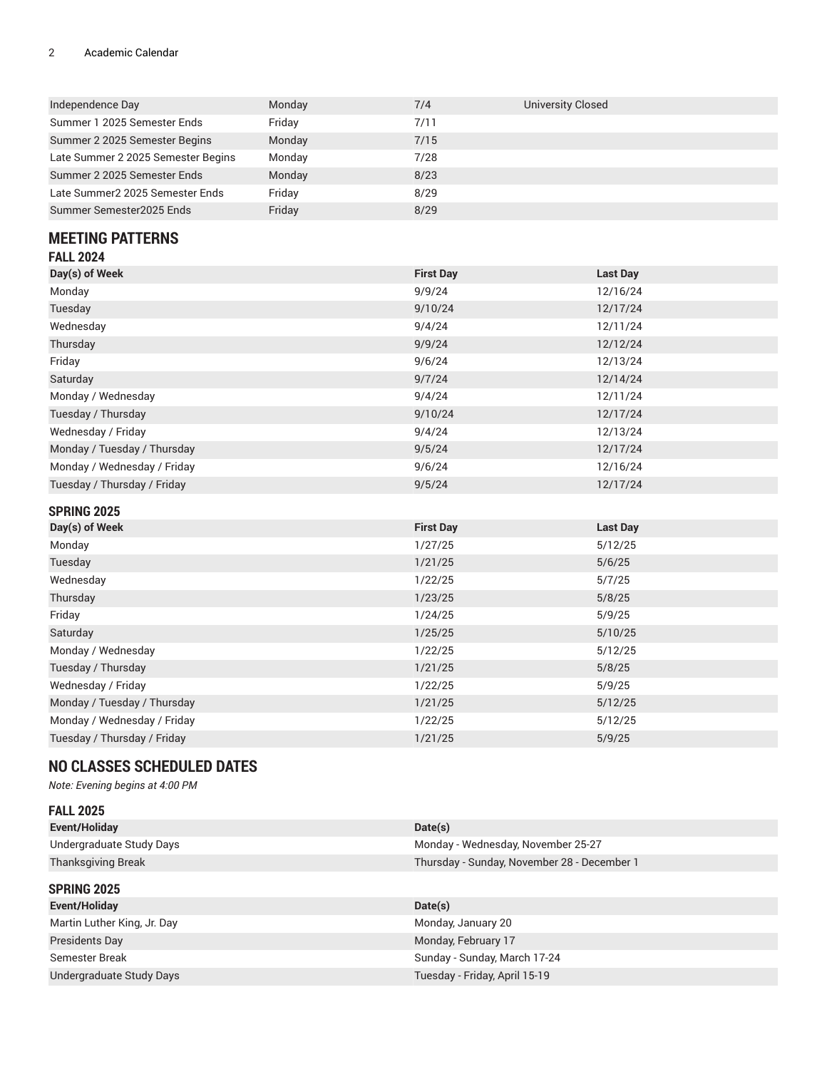### 2 Academic Calendar

| Independence Day                   | Monday | 7/4  | University Closed |
|------------------------------------|--------|------|-------------------|
| Summer 1 2025 Semester Ends        | Friday | 7/11 |                   |
| Summer 2 2025 Semester Begins      | Monday | 7/15 |                   |
| Late Summer 2 2025 Semester Begins | Monday | 7/28 |                   |
| Summer 2 2025 Semester Ends        | Monday | 8/23 |                   |
| Late Summer2 2025 Semester Ends    | Friday | 8/29 |                   |
| Summer Semester2025 Ends           | Friday | 8/29 |                   |

### **MEETING PATTERNS FALL 2024**

| <b>FALL ZUZ4</b>            |                  |                 |
|-----------------------------|------------------|-----------------|
| Day(s) of Week              | <b>First Day</b> | <b>Last Day</b> |
| Monday                      | 9/9/24           | 12/16/24        |
| Tuesday                     | 9/10/24          | 12/17/24        |
| Wednesday                   | 9/4/24           | 12/11/24        |
| Thursday                    | 9/9/24           | 12/12/24        |
| Friday                      | 9/6/24           | 12/13/24        |
| Saturday                    | 9/7/24           | 12/14/24        |
| Monday / Wednesday          | 9/4/24           | 12/11/24        |
| Tuesday / Thursday          | 9/10/24          | 12/17/24        |
| Wednesday / Friday          | 9/4/24           | 12/13/24        |
| Monday / Tuesday / Thursday | 9/5/24           | 12/17/24        |
| Monday / Wednesday / Friday | 9/6/24           | 12/16/24        |
| Tuesday / Thursday / Friday | 9/5/24           | 12/17/24        |
|                             |                  |                 |

| <b>SPRING 2025</b>          |                  |                 |
|-----------------------------|------------------|-----------------|
| Day(s) of Week              | <b>First Day</b> | <b>Last Day</b> |
| Monday                      | 1/27/25          | 5/12/25         |
| Tuesday                     | 1/21/25          | 5/6/25          |
| Wednesday                   | 1/22/25          | 5/7/25          |
| Thursday                    | 1/23/25          | 5/8/25          |
| Friday                      | 1/24/25          | 5/9/25          |
| Saturday                    | 1/25/25          | 5/10/25         |
| Monday / Wednesday          | 1/22/25          | 5/12/25         |
| Tuesday / Thursday          | 1/21/25          | 5/8/25          |
| Wednesday / Friday          | 1/22/25          | 5/9/25          |
| Monday / Tuesday / Thursday | 1/21/25          | 5/12/25         |
| Monday / Wednesday / Friday | 1/22/25          | 5/12/25         |
| Tuesday / Thursday / Friday | 1/21/25          | 5/9/25          |

# **NO CLASSES SCHEDULED DATES**

*Note: Evening begins at 4:00 PM*

| <b>FALL 2025</b>            |                                             |
|-----------------------------|---------------------------------------------|
| Event/Holiday               | Date(s)                                     |
| Undergraduate Study Days    | Monday - Wednesday, November 25-27          |
| <b>Thanksgiving Break</b>   | Thursday - Sunday, November 28 - December 1 |
| <b>SPRING 2025</b>          |                                             |
| Event/Holiday               | Date(s)                                     |
| Martin Luther King, Jr. Day | Monday, January 20                          |
| Presidents Day              | Monday, February 17                         |
| Semester Break              | Sunday - Sunday, March 17-24                |
| Undergraduate Study Days    | Tuesday - Friday, April 15-19               |
|                             |                                             |